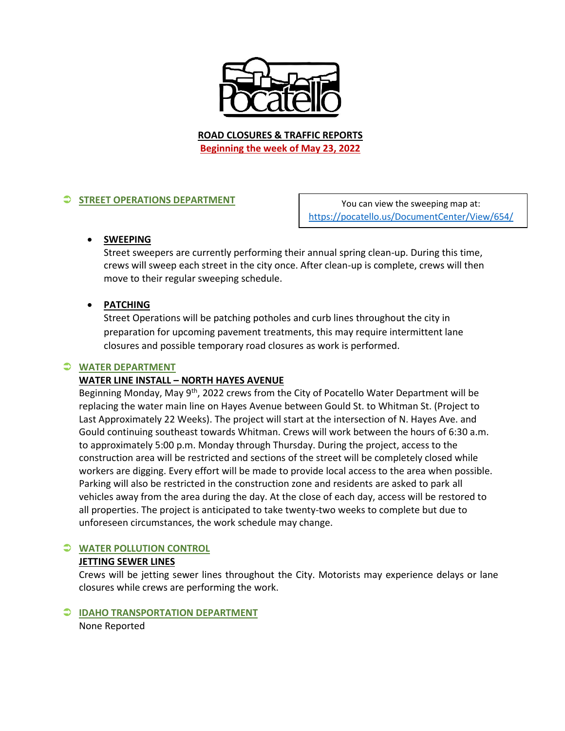

**ROAD CLOSURES & TRAFFIC REPORTS Beginning the week of May 23, 2022**

# **STREET OPERATIONS DEPARTMENT**

You can view the sweeping map at: <https://pocatello.us/DocumentCenter/View/654/>

# **SWEEPING**

Street sweepers are currently performing their annual spring clean-up. During this time, crews will sweep each street in the city once. After clean-up is complete, crews will then move to their regular sweeping schedule.

# **PATCHING**

Street Operations will be patching potholes and curb lines throughout the city in preparation for upcoming pavement treatments, this may require intermittent lane closures and possible temporary road closures as work is performed.

#### **WATER DEPARTMENT**

# **WATER LINE INSTALL – NORTH HAYES AVENUE**

Beginning Monday, May 9<sup>th</sup>, 2022 crews from the City of Pocatello Water Department will be replacing the water main line on Hayes Avenue between Gould St. to Whitman St. (Project to Last Approximately 22 Weeks). The project will start at the intersection of N. Hayes Ave. and Gould continuing southeast towards Whitman. Crews will work between the hours of 6:30 a.m. to approximately 5:00 p.m. Monday through Thursday. During the project, access to the construction area will be restricted and sections of the street will be completely closed while workers are digging. Every effort will be made to provide local access to the area when possible. Parking will also be restricted in the construction zone and residents are asked to park all vehicles away from the area during the day. At the close of each day, access will be restored to all properties. The project is anticipated to take twenty-two weeks to complete but due to unforeseen circumstances, the work schedule may change.

# **WATER POLLUTION CONTROL**

# **JETTING SEWER LINES**

Crews will be jetting sewer lines throughout the City. Motorists may experience delays or lane closures while crews are performing the work.

# **IDAHO TRANSPORTATION DEPARTMENT**

None Reported